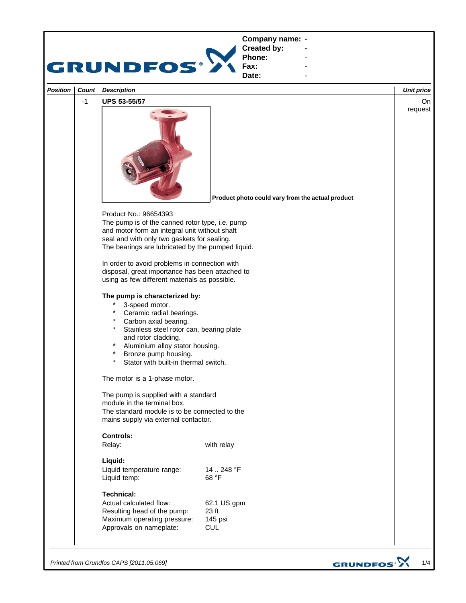

*Printed from Grundfos CAPS [2011.05.069]*

GRUNDFOS<sup>.</sup>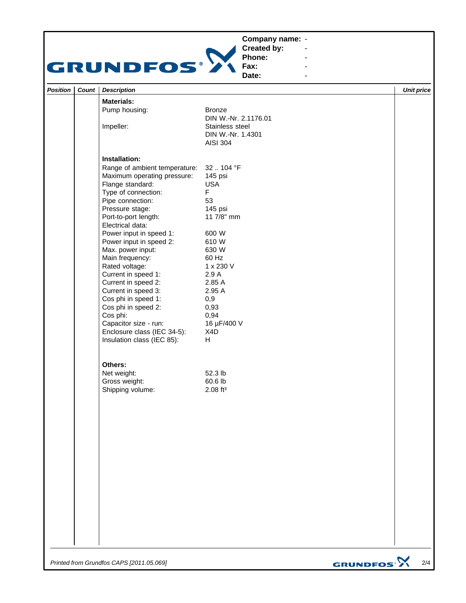## **Company name: -** Construction of the construction



**Created by: Phone:**

**Fax: Date:**

**-** Andrew March 2014 **-** Andrew March 2014 **-** Andrew March 2014 **-** Construction of the construction

| Position | Count | <b>Description</b>                       |                                                         | <b>Unit price</b> |
|----------|-------|------------------------------------------|---------------------------------------------------------|-------------------|
|          |       | <b>Materials:</b>                        |                                                         |                   |
|          |       | Pump housing:                            | <b>Bronze</b><br>DIN W.-Nr. 2.1176.01                   |                   |
|          |       | Impeller:                                | Stainless steel<br>DIN W.-Nr. 1.4301<br><b>AISI 304</b> |                   |
|          |       | Installation:                            |                                                         |                   |
|          |       | Range of ambient temperature:            | 32  104 °F                                              |                   |
|          |       | Maximum operating pressure:              | 145 psi                                                 |                   |
|          |       | Flange standard:                         | <b>USA</b><br>F.                                        |                   |
|          |       | Type of connection:<br>Pipe connection:  | 53                                                      |                   |
|          |       | Pressure stage:                          | 145 psi                                                 |                   |
|          |       | Port-to-port length:<br>Electrical data: | 11 7/8" mm                                              |                   |
|          |       | Power input in speed 1:                  | 600 W                                                   |                   |
|          |       | Power input in speed 2:                  | 610 W                                                   |                   |
|          |       | Max. power input:                        | 630 W                                                   |                   |
|          |       | Main frequency:                          | 60 Hz                                                   |                   |
|          |       | Rated voltage:                           | 1 x 230 V                                               |                   |
|          |       | Current in speed 1:                      | 2.9A                                                    |                   |
|          |       | Current in speed 2:                      | 2.85 A                                                  |                   |
|          |       | Current in speed 3:                      | 2.95 A                                                  |                   |
|          |       | Cos phi in speed 1:                      | 0,9                                                     |                   |
|          |       | Cos phi in speed 2:                      | 0,93                                                    |                   |
|          |       | Cos phi:<br>Capacitor size - run:        | 0,94<br>16 µF/400 V                                     |                   |
|          |       | Enclosure class (IEC 34-5):              | X4D                                                     |                   |
|          |       | Insulation class (IEC 85):               | H                                                       |                   |
|          |       | Others:                                  |                                                         |                   |
|          |       | Net weight:                              | 52.3 lb                                                 |                   |
|          |       | Gross weight:                            | 60.6 lb                                                 |                   |
|          |       | Shipping volume:                         | $2.08$ ft <sup>3</sup>                                  |                   |
|          |       |                                          |                                                         |                   |
|          |       |                                          |                                                         |                   |
|          |       |                                          |                                                         |                   |
|          |       |                                          |                                                         |                   |
|          |       |                                          |                                                         |                   |
|          |       |                                          |                                                         |                   |
|          |       |                                          |                                                         |                   |
|          |       |                                          |                                                         |                   |
|          |       |                                          |                                                         |                   |
|          |       |                                          |                                                         |                   |
|          |       |                                          |                                                         |                   |
|          |       |                                          |                                                         |                   |
|          |       |                                          |                                                         |                   |
|          |       |                                          |                                                         |                   |
|          |       |                                          |                                                         |                   |
|          |       |                                          |                                                         |                   |
|          |       |                                          |                                                         |                   |
|          |       |                                          |                                                         |                   |
|          |       |                                          |                                                         |                   |

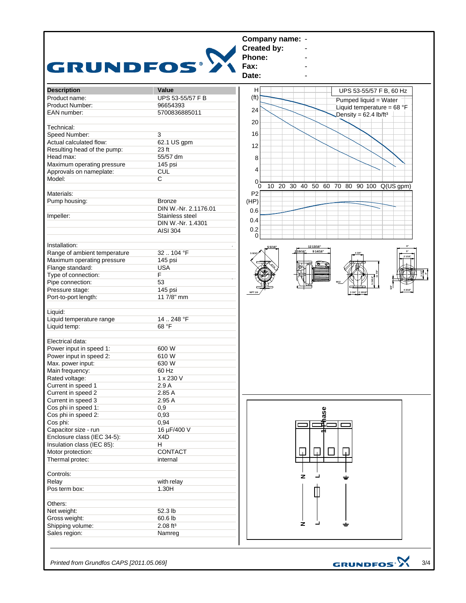

*Printed from Grundfos CAPS [2011.05.069]*

3/4